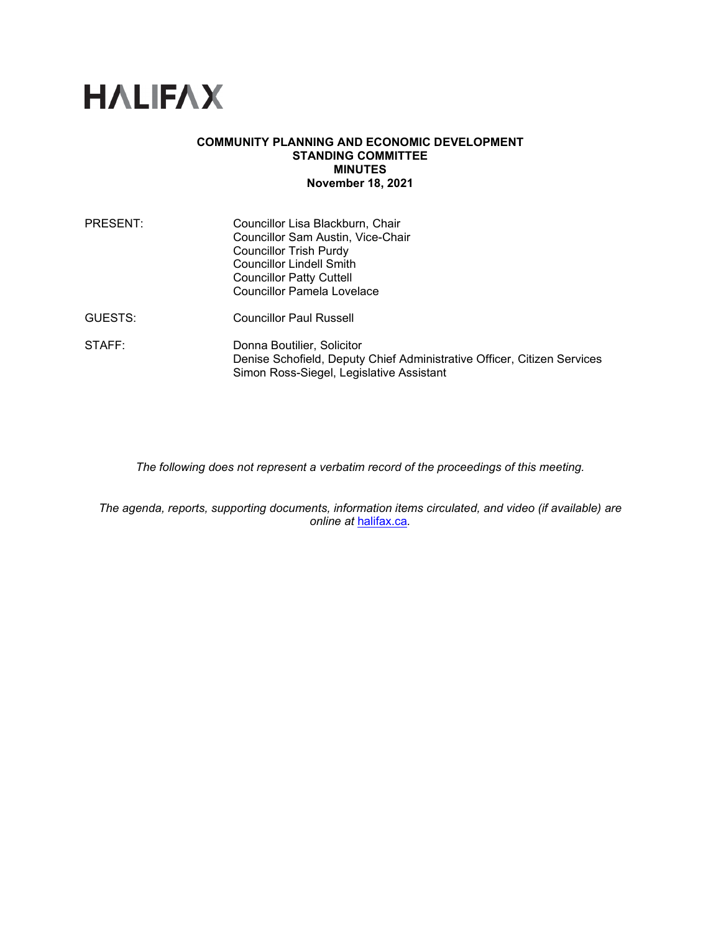# **HALIFAX**

#### **COMMUNITY PLANNING AND ECONOMIC DEVELOPMENT STANDING COMMITTEE MINUTES November 18, 2021**

| PRESENT: | Councillor Lisa Blackburn, Chair<br>Councillor Sam Austin, Vice-Chair<br><b>Councillor Trish Purdy</b><br><b>Councillor Lindell Smith</b><br><b>Councillor Patty Cuttell</b><br><b>Councillor Pamela Lovelace</b> |
|----------|-------------------------------------------------------------------------------------------------------------------------------------------------------------------------------------------------------------------|
| GUESTS:  | <b>Councillor Paul Russell</b>                                                                                                                                                                                    |
| STAFF:   | Donna Boutilier, Solicitor<br>Denise Schofield, Deputy Chief Administrative Officer, Citizen Services<br>Simon Ross-Siegel, Legislative Assistant                                                                 |

*The following does not represent a verbatim record of the proceedings of this meeting.*

*The agenda, reports, supporting documents, information items circulated, and video (if available) are online at* [halifax.ca](http://www.halifax.ca/)*.*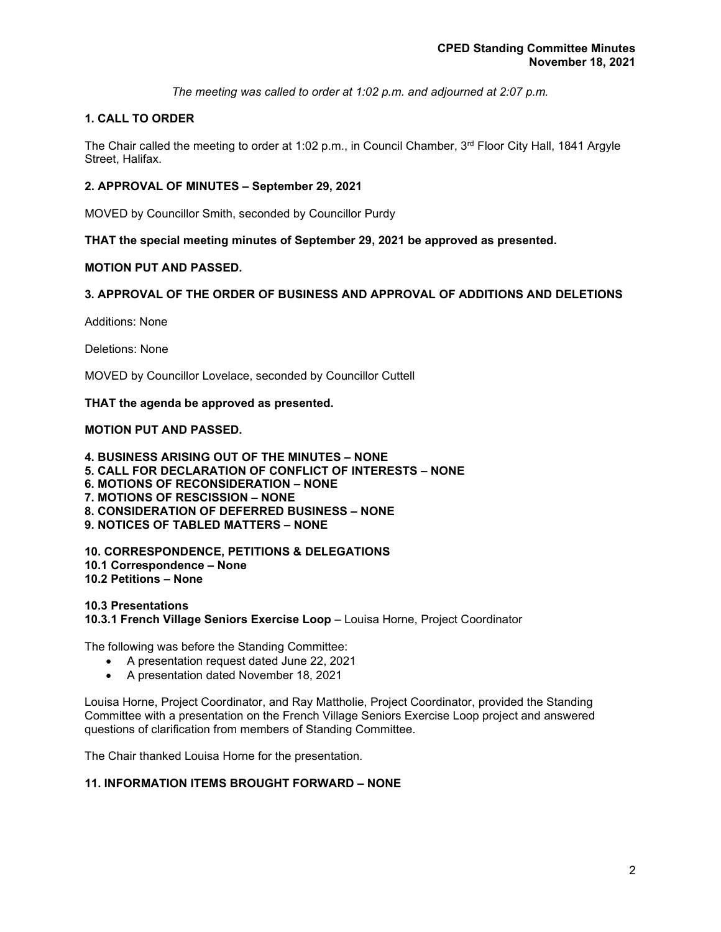*The meeting was called to order at 1:02 p.m. and adjourned at 2:07 p.m.*

# **1. CALL TO ORDER**

The Chair called the meeting to order at 1:02 p.m., in Council Chamber,  $3<sup>rd</sup>$  Floor City Hall, 1841 Argyle Street, Halifax.

# **2. APPROVAL OF MINUTES – September 29, 2021**

MOVED by Councillor Smith, seconded by Councillor Purdy

**THAT the special meeting minutes of September 29, 2021 be approved as presented.**

# **MOTION PUT AND PASSED.**

# **3. APPROVAL OF THE ORDER OF BUSINESS AND APPROVAL OF ADDITIONS AND DELETIONS**

Additions: None

Deletions: None

MOVED by Councillor Lovelace, seconded by Councillor Cuttell

**THAT the agenda be approved as presented.**

# **MOTION PUT AND PASSED.**

**4. BUSINESS ARISING OUT OF THE MINUTES – NONE 5. CALL FOR DECLARATION OF CONFLICT OF INTERESTS – NONE 6. MOTIONS OF RECONSIDERATION – NONE 7. MOTIONS OF RESCISSION – NONE 8. CONSIDERATION OF DEFERRED BUSINESS – NONE 9. NOTICES OF TABLED MATTERS – NONE**

**10. CORRESPONDENCE, PETITIONS & DELEGATIONS 10.1 Correspondence – None 10.2 Petitions – None**

**10.3 Presentations 10.3.1 French Village Seniors Exercise Loop** – Louisa Horne, Project Coordinator

The following was before the Standing Committee:

- A presentation request dated June 22, 2021
- A presentation dated November 18, 2021

Louisa Horne, Project Coordinator, and Ray Mattholie, Project Coordinator, provided the Standing Committee with a presentation on the French Village Seniors Exercise Loop project and answered questions of clarification from members of Standing Committee.

The Chair thanked Louisa Horne for the presentation.

# **11. INFORMATION ITEMS BROUGHT FORWARD – NONE**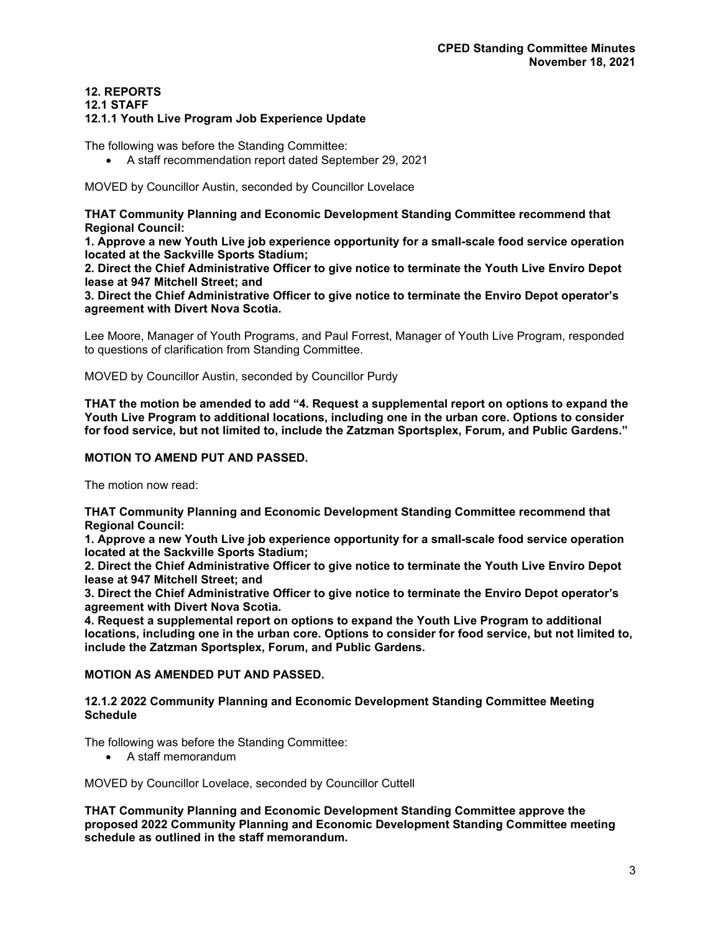# **12. REPORTS**

#### **12.1 STAFF**

#### **12.1.1 Youth Live Program Job Experience Update**

The following was before the Standing Committee:

• A staff recommendation report dated September 29, 2021

MOVED by Councillor Austin, seconded by Councillor Lovelace

**THAT Community Planning and Economic Development Standing Committee recommend that Regional Council:**

**1. Approve a new Youth Live job experience opportunity for a small-scale food service operation located at the Sackville Sports Stadium;**

**2. Direct the Chief Administrative Officer to give notice to terminate the Youth Live Enviro Depot lease at 947 Mitchell Street; and**

**3. Direct the Chief Administrative Officer to give notice to terminate the Enviro Depot operator's agreement with Divert Nova Scotia.**

Lee Moore, Manager of Youth Programs, and Paul Forrest, Manager of Youth Live Program, responded to questions of clarification from Standing Committee.

MOVED by Councillor Austin, seconded by Councillor Purdy

**THAT the motion be amended to add "4. Request a supplemental report on options to expand the Youth Live Program to additional locations, including one in the urban core. Options to consider for food service, but not limited to, include the Zatzman Sportsplex, Forum, and Public Gardens."**

#### **MOTION TO AMEND PUT AND PASSED.**

The motion now read:

**THAT Community Planning and Economic Development Standing Committee recommend that Regional Council:**

**1. Approve a new Youth Live job experience opportunity for a small-scale food service operation located at the Sackville Sports Stadium;**

**2. Direct the Chief Administrative Officer to give notice to terminate the Youth Live Enviro Depot lease at 947 Mitchell Street; and**

**3. Direct the Chief Administrative Officer to give notice to terminate the Enviro Depot operator's agreement with Divert Nova Scotia.**

**4. Request a supplemental report on options to expand the Youth Live Program to additional locations, including one in the urban core. Options to consider for food service, but not limited to, include the Zatzman Sportsplex, Forum, and Public Gardens.**

#### **MOTION AS AMENDED PUT AND PASSED.**

#### **12.1.2 2022 Community Planning and Economic Development Standing Committee Meeting Schedule**

The following was before the Standing Committee:

• A staff memorandum

MOVED by Councillor Lovelace, seconded by Councillor Cuttell

**THAT Community Planning and Economic Development Standing Committee approve the proposed 2022 Community Planning and Economic Development Standing Committee meeting schedule as outlined in the staff memorandum.**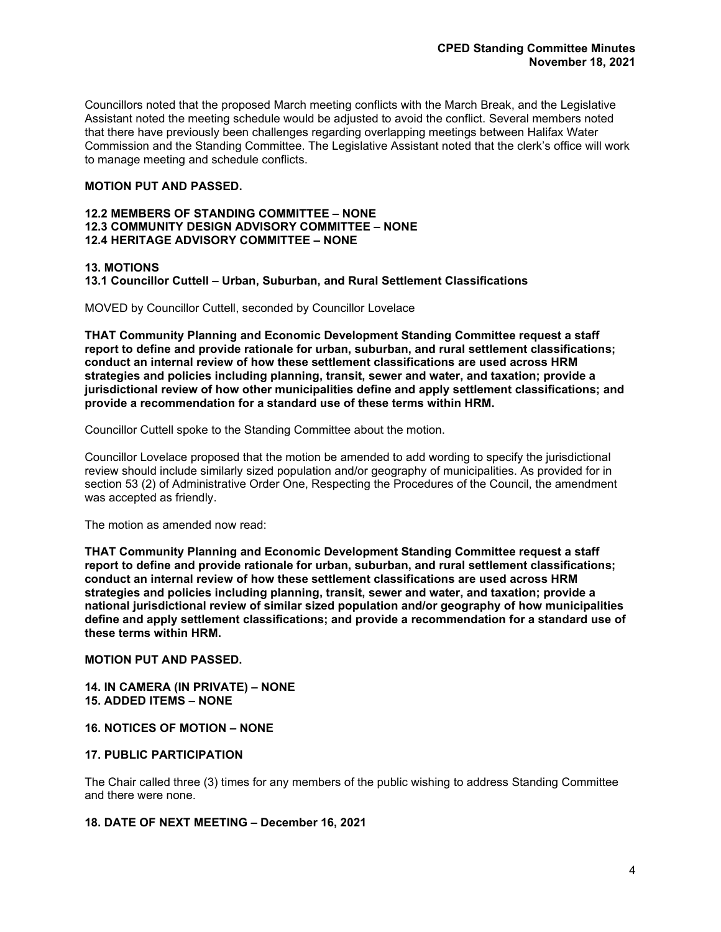Councillors noted that the proposed March meeting conflicts with the March Break, and the Legislative Assistant noted the meeting schedule would be adjusted to avoid the conflict. Several members noted that there have previously been challenges regarding overlapping meetings between Halifax Water Commission and the Standing Committee. The Legislative Assistant noted that the clerk's office will work to manage meeting and schedule conflicts.

# **MOTION PUT AND PASSED.**

#### **12.2 MEMBERS OF STANDING COMMITTEE – NONE 12.3 COMMUNITY DESIGN ADVISORY COMMITTEE – NONE 12.4 HERITAGE ADVISORY COMMITTEE – NONE**

# **13. MOTIONS**

**13.1 Councillor Cuttell – Urban, Suburban, and Rural Settlement Classifications**

MOVED by Councillor Cuttell, seconded by Councillor Lovelace

**THAT Community Planning and Economic Development Standing Committee request a staff report to define and provide rationale for urban, suburban, and rural settlement classifications; conduct an internal review of how these settlement classifications are used across HRM strategies and policies including planning, transit, sewer and water, and taxation; provide a jurisdictional review of how other municipalities define and apply settlement classifications; and provide a recommendation for a standard use of these terms within HRM.**

Councillor Cuttell spoke to the Standing Committee about the motion.

Councillor Lovelace proposed that the motion be amended to add wording to specify the jurisdictional review should include similarly sized population and/or geography of municipalities. As provided for in section 53 (2) of Administrative Order One, Respecting the Procedures of the Council, the amendment was accepted as friendly.

The motion as amended now read:

**THAT Community Planning and Economic Development Standing Committee request a staff report to define and provide rationale for urban, suburban, and rural settlement classifications; conduct an internal review of how these settlement classifications are used across HRM strategies and policies including planning, transit, sewer and water, and taxation; provide a national jurisdictional review of similar sized population and/or geography of how municipalities define and apply settlement classifications; and provide a recommendation for a standard use of these terms within HRM.**

# **MOTION PUT AND PASSED.**

**14. IN CAMERA (IN PRIVATE) – NONE 15. ADDED ITEMS – NONE**

#### **16. NOTICES OF MOTION – NONE**

#### **17. PUBLIC PARTICIPATION**

The Chair called three (3) times for any members of the public wishing to address Standing Committee and there were none.

#### **18. DATE OF NEXT MEETING – December 16, 2021**